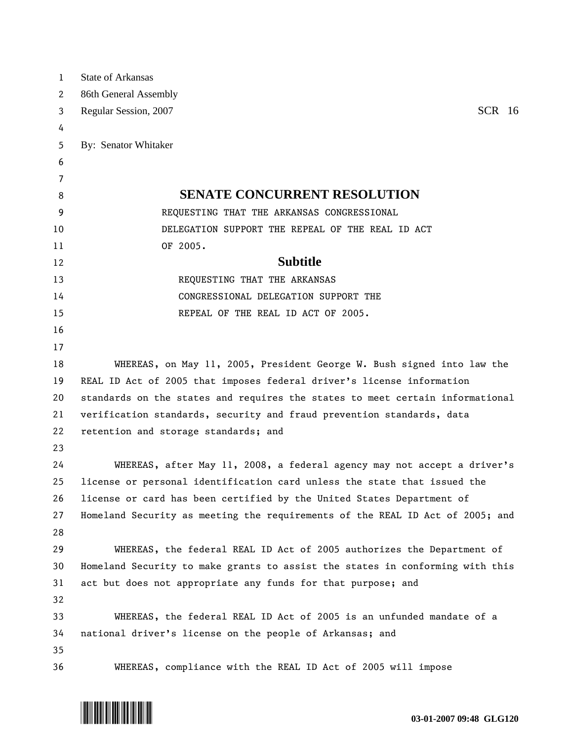| $\mathbf{1}$ | <b>State of Arkansas</b>                                                      |
|--------------|-------------------------------------------------------------------------------|
| 2            | 86th General Assembly                                                         |
| 3            | <b>SCR</b> 16<br>Regular Session, 2007                                        |
| 4            |                                                                               |
| 5            | By: Senator Whitaker                                                          |
| 6            |                                                                               |
| 7            |                                                                               |
| 8            | <b>SENATE CONCURRENT RESOLUTION</b>                                           |
| 9            | REQUESTING THAT THE ARKANSAS CONGRESSIONAL                                    |
| 10           | DELEGATION SUPPORT THE REPEAL OF THE REAL ID ACT                              |
| 11           | OF 2005.                                                                      |
| 12           | <b>Subtitle</b>                                                               |
| 13           | REQUESTING THAT THE ARKANSAS                                                  |
| 14           | CONGRESSIONAL DELEGATION SUPPORT THE                                          |
| 15           | REPEAL OF THE REAL ID ACT OF 2005.                                            |
| 16           |                                                                               |
| 17           |                                                                               |
| 18           | WHEREAS, on May 11, 2005, President George W. Bush signed into law the        |
| 19           | REAL ID Act of 2005 that imposes federal driver's license information         |
| 20           | standards on the states and requires the states to meet certain informational |
| 21           | verification standards, security and fraud prevention standards, data         |
| 22           | retention and storage standards; and                                          |
| 23           |                                                                               |
| 24           | WHEREAS, after May 11, 2008, a federal agency may not accept a driver's       |
| 25           | license or personal identification card unless the state that issued the      |
| 26           | license or card has been certified by the United States Department of         |
| 27           | Homeland Security as meeting the requirements of the REAL ID Act of 2005; and |
| 28           |                                                                               |
| 29           | WHEREAS, the federal REAL ID Act of 2005 authorizes the Department of         |
| 30           | Homeland Security to make grants to assist the states in conforming with this |
| 31           | act but does not appropriate any funds for that purpose; and                  |
| 32           |                                                                               |
| 33           | WHEREAS, the federal REAL ID Act of 2005 is an unfunded mandate of a          |
| 34           | national driver's license on the people of Arkansas; and                      |
| 35           |                                                                               |
| 36           | WHEREAS, compliance with the REAL ID Act of 2005 will impose                  |